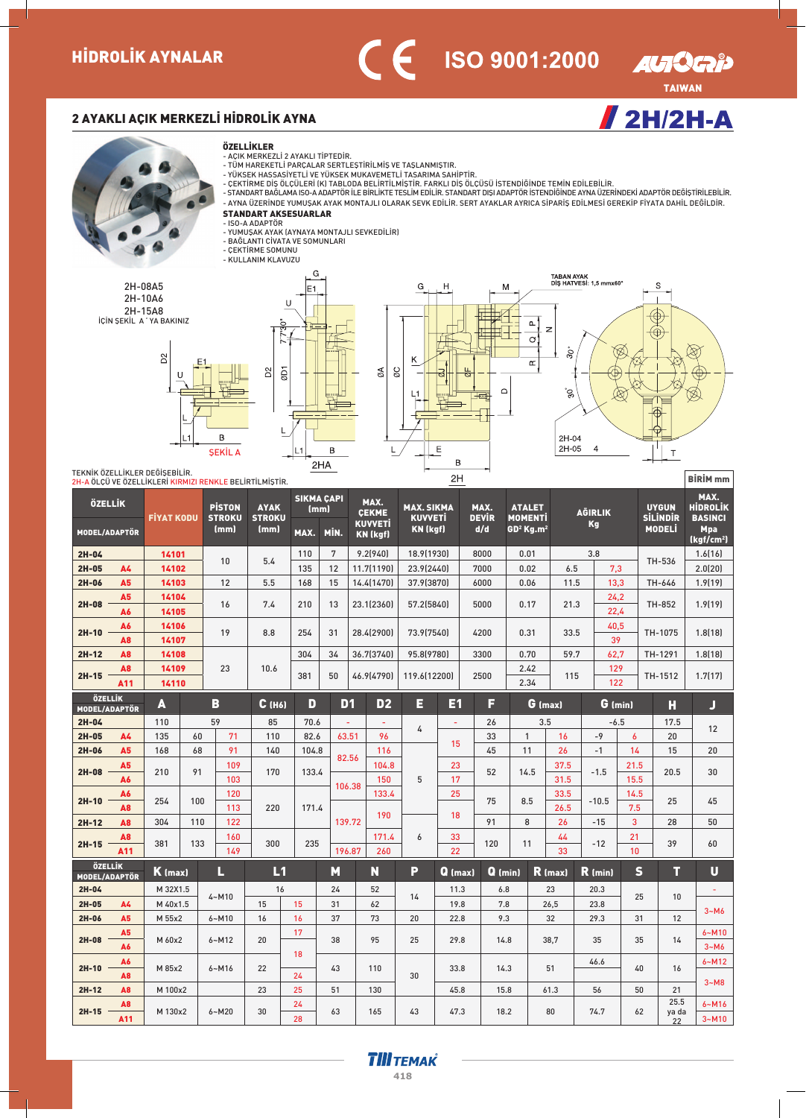

 $/ 2H/2H-A$ 

## 2 AYAKLI AÇIK MERKEZLİ HİDROLİK AYNA



2H-08A5 2H-10A6 2H-15A8<br>İÇİN ŞEKİL A'YA BAKINIZ







TEKNIK ÖZELLIKLER DEĞISEBILIR. 2H-A ÖLÇÜ VE ÖZELLİKLERİ KIRMIZI RENKLE BELİRTİLMİŞTİR.

| ÖZELLİK                         |                       | <b>FIYAT KODU</b> |     | <b>PISTON</b><br><b>STROKU</b> | <b>AYAK</b><br><b>STROKU</b> |          | <b>SIKMA ÇAPI</b><br>(mm) | MAX.<br><b>CEKME</b>              |                | <b>MAX. SIKMA</b><br><b>KUVVETİ</b> |           | MAX.<br><b>DEVIR</b> |           | <b>ATALET</b><br><b>MOMENTI</b> |              | <b>AGIRLIK</b> |                  | <b>UYGUN</b><br><b>SİLİNDİR</b> | MAX.<br><b>HIDROLIK</b><br><b>BASINCI</b> |
|---------------------------------|-----------------------|-------------------|-----|--------------------------------|------------------------------|----------|---------------------------|-----------------------------------|----------------|-------------------------------------|-----------|----------------------|-----------|---------------------------------|--------------|----------------|------------------|---------------------------------|-------------------------------------------|
| MODEL/ADAPTÖR                   |                       |                   |     | (mm)                           | (mm)                         | MAX.     | MİN.                      | <b>KUVVETİ</b><br><b>KN (kgf)</b> |                | <b>KN (kgf)</b>                     |           | d/d                  |           | $GD2$ Kg.m <sup>2</sup>         |              | Kg             |                  | <b>MODELI</b>                   | <b>Mpa</b><br>(kgf/cm <sup>2</sup> )      |
| $2H-04$                         |                       | 14101             |     | 10                             | 5.4                          | 110      | 7                         | 9.2(940)                          |                | 18.9(1930)                          |           | 8000                 |           | 0.01                            |              | 3.8            |                  | TH-536                          | 1.6[16]                                   |
| $2H-05$                         | <b>A4</b>             | 14102             |     |                                |                              | 135      | 12                        | 11.7(1190)                        |                | 23.9(2440)                          |           | 7000                 |           | 0.02                            | 6.5          | 7.3            |                  |                                 | 2.0(20)                                   |
| 2H-06                           | A <sub>5</sub>        | 14103             |     | 12                             | 5.5                          | 168      | 15                        | 14.4(1470)                        |                | 37.9(3870)                          |           | 6000                 |           | 0.06                            | 11.5         | 13.3           |                  | TH-646                          | 1.9(19)                                   |
| $2H-08$                         | A <sub>5</sub><br>A6  | 14104<br>14105    |     | 16                             | 7.4                          | 210      | 13                        | 23.1(2360)                        |                | 57.2(5840)                          |           | 5000                 |           | 0.17                            | 21.3         | 24,2<br>22,4   |                  | <b>TH-852</b>                   | 1.9(19)                                   |
| $2H-10$                         | A6<br>A8              | 14106<br>14107    |     | 19                             | 8.8                          | 254      | 31                        | 28.4(2900)                        |                | 73.9(7540)                          |           | 4200                 |           | 0.31                            | 33.5         | 40,5<br>39     |                  | TH-1075                         | 1.8(18)                                   |
| $2H-12$                         | A <sub>8</sub>        | 14108             |     |                                |                              | 304      | 34                        | 36.7(3740)                        |                | 95.8(9780)                          |           | 3300                 |           | 0.70                            | 59.7         | 62,7           |                  | TH-1291                         | 1.8(18)                                   |
| $2H-15$                         | A <sub>8</sub><br>A11 | 14109<br>14110    |     | 23                             | 10.6                         | 381      | 50                        | 46.9(4790)                        |                | 119.6(12200)                        |           | 2500                 |           | 2.42<br>2.34                    | 115          | 129<br>122     |                  | TH-1512                         | 1.7(17)                                   |
| ÖZELLİK<br>MODEL/ADAPTÖR        |                       | A                 |     | B                              | $C$ (H <sub>6</sub> )        | D        | D <sub>1</sub>            |                                   | D <sub>2</sub> | E                                   | E1        | F                    |           | G (max)                         |              | $G$ (min)      |                  | Н                               | $\overline{\mathsf{J}}$                   |
| 2H-04                           |                       | 110               |     | 59                             | 85                           | 70.6     | $\omega$                  |                                   | $\omega$       |                                     | ä,        | 26                   |           | 3.5                             |              | $-6.5$         |                  | 17.5                            |                                           |
| 2H-05                           | <b>A4</b>             | 135               | 60  | 71                             | 110                          | 82.6     | 63.51                     |                                   | 96             | 4                                   | 15        | 33                   |           | $\mathbf{1}$                    | 16           | $-9$           | $\boldsymbol{6}$ | 20                              | 12                                        |
| 2H-06                           | A <sub>5</sub>        | 168               | 68  | 91                             | 140                          | 104.8    | 82.56                     |                                   | 116            |                                     |           | 45                   |           | 11                              | 26           | $-1$           | 14               | 15                              | 20                                        |
| $2H-08$                         | A <sub>5</sub><br>A6  | 210               | 91  | 109<br>103                     | 170                          | 133.4    |                           |                                   | 104.8<br>150   | 5                                   | 23<br>17  | 52                   |           | 14.5                            | 37.5<br>31.5 | $-1.5$         | 21.5<br>15.5     | 20.5                            | 30                                        |
| $2H-10$                         | A6<br>A <sub>8</sub>  | 254               | 100 | 120<br>113                     | 220                          | 171.4    | 106.38                    |                                   | 133.4          |                                     | 25        | 75                   |           | 8.5                             | 33.5<br>26.5 | $-10.5$        | 14.5<br>7.5      | 25                              | 45                                        |
| 2H-12                           | A8                    | 304               | 110 | 122                            |                              |          | 139.72                    |                                   | 190            |                                     | 18        | 91                   |           | 8                               | 26           | $-15$          | 3                | 28                              | 50                                        |
| $2H-15$                         | A <sub>8</sub>        | 381               | 133 | 160                            | 300                          | 235      |                           |                                   | 171.4          | $\boldsymbol{6}$                    | 33        | 120                  |           | 11                              | 44           | $-12$          | 21               | 39                              | 60                                        |
|                                 | A11                   |                   |     | 149                            |                              |          | 196.87                    |                                   | 260            |                                     | 22        |                      |           |                                 | 33           |                | 10               |                                 |                                           |
| ÖZELLİK<br><b>MODEL/ADAPTÖR</b> |                       | $K$ (max)         |     | П                              | L1                           |          | M                         | N                                 |                | P                                   | $Q$ (max) |                      | $Q$ (min) |                                 | $R$ (max)    | $R$ (min)      | $\mathbf S$      | т                               | $\overline{\mathsf{U}}$                   |
| 2H-04                           |                       | M 32X1.5          |     | $4 - M10$                      | 16                           |          | 24                        | 52                                |                | 14                                  | 11.3      |                      | 6.8       |                                 | 23           | 20.3           | 25               | 10                              | ÷.                                        |
| $2H-05$                         | <b>A4</b>             | M 40x1.5          |     |                                | 15                           | 15       | 31                        | 62                                |                |                                     | 19.8      |                      | 7.8       |                                 | 26,5         | 23.8           |                  |                                 | $3-M6$                                    |
| 2H-06                           | <b>A5</b>             | M 55x2            |     | $6 - M10$                      | 16                           | 16       | 37                        | 73                                |                | 20                                  | 22.8      |                      | 9.3       |                                 | 32           | 29.3           | 31               | 12                              |                                           |
| 2H-08                           | A <sub>5</sub><br>A6  | M 60x2            |     | $6 - M12$                      | 20                           | 17       | 38                        | 95                                |                | 25                                  | 29.8      |                      | 14.8      |                                 | 38,7         | 35             | 35               | 14                              | $6-M10$<br>$3-M6$                         |
| $2H-10$                         | A6<br>A <sub>8</sub>  | M 85x2            |     | $6 - M16$                      | 22                           | 18<br>24 | 43                        | 110                               |                | 30                                  | 33.8      |                      | 14.3      |                                 | 51           | 46.6           | 40               | 16                              | $6 - M12$                                 |
| $2H-12$                         | A <sub>8</sub>        | M 100x2           |     |                                | 23                           | 25       | 51                        | 130                               |                |                                     | 45.8      |                      | 15.8      |                                 | 61.3         | 56             | 50               | 21                              | $3-M8$                                    |
| $2H-15$                         | A8<br>A11             | M 130x2           |     | $6 - M20$                      | 30                           | 24<br>28 | 63                        | 165                               |                | 43                                  | 47.3      |                      | 18.2      |                                 | 80           | 74.7           | 62               | 25.5<br>ya da<br>22             | $6 - M16$<br>$3 - M10$                    |

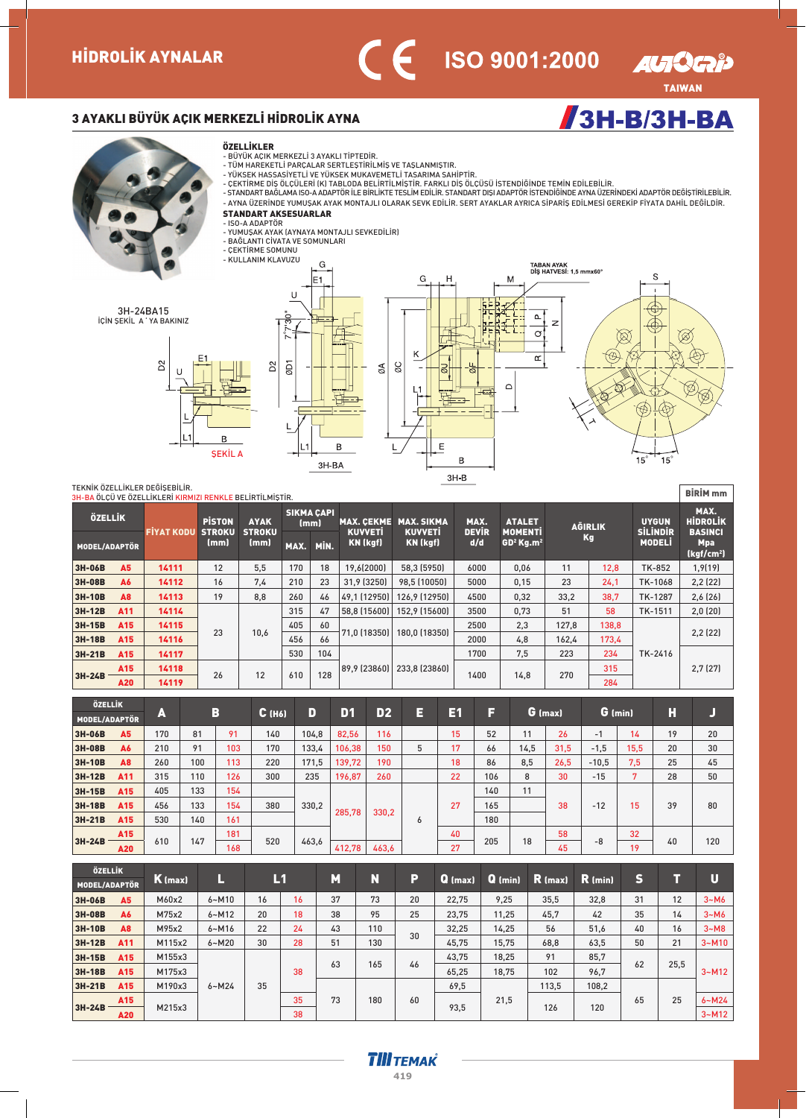

 $/3H-B/3H-BA$ 

## 3 AYAKLI BÜYÜK AÇIK MERKEZLİ HİDROLİK AYNA





- -
- BÜYÜK AÇIK MERKEZLİ 3 AYAKLI TİPTEDİR.<br>- TÜM HAREKETLİ PARÇALAR SERTLEŞTİRİLMIŞ VE TAŞLANMIŞTIR.<br>- YÜKSEK HASSASIYETLI VE YÜKSEK MUKAVEMETLI TASARIMA SAHİPTİR.<br>- ÇEKTİRME DIŞ ÖLÇÜLERİ (K) TABLODA BELİRTİLMIŞTIR. FARKLI D
- AYNA ÜZERÍNDE YUMUŞAK AYAK MONTAJLI OLARAK SEVK EDÍLÍR. SERT AYAKLAR AYRICA SÍPARÍŞ EDÍLMESÍ GEREKÍP FÍYATA DAHÍL DEĞÍLDÍR.
- STANDART AKSESUARLAR
- ISO-A ADAPTÖR<br>- YUMUŞAK AYAK (AYNAYA MONTAJLI SEVKEDİLİR)
- 
- BAGLANTI CIVATA VE SOMUNLARI<br>- ÇEKTİRME SOMUNU

**SEKİL A** 

R



 $\overline{B}$ 

 $3H-BA$ 



TEKNÍK ÖZELLÍKLER DEĞÍŞEBÍLÍR.

|                      |           | TEKNİK ÖZELLİKLER DEĞİSEBİLİR.<br>3H-BA ÖLÇÜ VE ÖZELLİKLERİ KIRMIZI RENKLE BELİRTİLMİŞTİR. |                                |                              |                   |      |                                     |                                     |                      |                                 |       |                |                                 | <b>BİRİM</b> <sub>mm</sub>                |
|----------------------|-----------|--------------------------------------------------------------------------------------------|--------------------------------|------------------------------|-------------------|------|-------------------------------------|-------------------------------------|----------------------|---------------------------------|-------|----------------|---------------------------------|-------------------------------------------|
| ÖZELLİK              |           | <b>FIYAT KODU</b>                                                                          | <b>PISTON</b><br><b>STROKU</b> | <b>AYAK</b><br><b>STROKU</b> | <b>SIKMA CAPI</b> | (mm) | <b>MAX. CEKME</b><br><b>KUVVETI</b> | <b>MAX. SIKMA</b><br><b>KUVVETI</b> | MAX.<br><b>DEVIR</b> | <b>ATALET</b><br><b>MOMENTI</b> |       | <b>AGIRLIK</b> | <b>UYGUN</b><br><b>SİLİNDİR</b> | MAX.<br><b>HİDROLİK</b><br><b>BASINCI</b> |
| <b>MODEL/ADAPTÖR</b> |           |                                                                                            | (mm)                           | (mm)                         | MAX.              | MİN. | KN (kgf)                            | <b>KN</b> (kgf)                     | d/d                  | $GD2$ Kg.m <sup>2</sup>         |       | Kg             | <b>MODEL</b>                    | <b>Mpa</b><br>(kgf/cm <sup>2</sup> )      |
| 3H-06B               | <b>A5</b> | 14111                                                                                      | 12                             | 5.5                          | 170               | 18   | 19.6(2000)                          | 58.3 (5950)                         | 6000                 | 0,06                            | 11    | 12,8           | <b>TK-852</b>                   | 1,9(19)                                   |
| 3H-08B               | <b>A6</b> | 14112                                                                                      | 16                             | 7.4                          | 210               | 23   | 31.9 (3250)                         | 98.5 (10050)                        | 5000                 | 0,15                            | 23    | 24.1           | TK-1068                         | 2,2(22)                                   |
| 3H-10B               | <b>A8</b> | 14113                                                                                      | 19                             | 8.8                          | 260               | 46   | 49.1 (12950)                        | 126.9 (12950)                       | 4500                 | 0.32                            | 33.2  | 38.7           | TK-1287                         | 2,6(26)                                   |
| 3H-12B               | A11       | 14114                                                                                      |                                |                              | 315               | 47   | 58.8 (15600)                        | 152.9 (15600)                       | 3500                 | 0,73                            | 51    | 58             | TK-1511                         | 2,0(20)                                   |
| 3H-15B               | A15       | 14115                                                                                      |                                |                              | 405               | 60   |                                     |                                     | 2500                 | 2,3                             | 127.8 | 138.8          |                                 |                                           |
| 3H-18B               | A15       | 14116                                                                                      | 23                             | 10,6                         | 456               | 66   | 71,0 (18350)                        | 180.0 (18350)                       | 2000                 | 4,8                             | 162,4 | 173,4          |                                 | 2,2(22)                                   |
| 3H-21B               | A15       | 14117                                                                                      |                                |                              | 530               | 104  |                                     |                                     | 1700                 | 7.5                             | 223   | 234            | TK-2416                         |                                           |
|                      | A15       |                                                                                            |                                |                              |                   |      | 89.9 (23860)                        | 233.8 [23860]                       |                      |                                 |       | 315            |                                 | 2,7(27)                                   |
| 3H-24B               | A20       | 14119                                                                                      | 26                             | 12                           | 610               | 128  |                                     |                                     | 1400                 | 14,8                            | 270   | 284            |                                 |                                           |

 $\overline{L}$ 

 $\mathsf E$ 

B

 $3H-B$ 

| ÖZELLİK       |                 |     |     |     |          |       |        |                |   |    |     |      |         |         |              |    |     |
|---------------|-----------------|-----|-----|-----|----------|-------|--------|----------------|---|----|-----|------|---------|---------|--------------|----|-----|
| MODEL/ADAPTÖR |                 | A   |     | B   | $C$ (H6) | D     | D1     | D <sub>2</sub> | E | 61 | F   |      | G (max) |         | $G$ (min)    | Н  |     |
| 3H-06B        | A <sub>5</sub>  | 170 | 81  | 91  | 140      | 104,8 | 82.56  | 116            |   | 15 | 52  | 11   | 26      | $-1$    | $14^{\circ}$ | 19 | 20  |
| 3H-08B        | A6              | 210 | 91  | 103 | 170      | 133,4 | 106,38 | 150            | 5 | 17 | 66  | 14,5 | 31,5    | $-1,5$  | 15,5         | 20 | 30  |
| 3H-10B        | A <sub>8</sub>  | 260 | 100 | 113 | 220      | 171,5 | 139,72 | 190            |   | 18 | 86  | 8,5  | 26,5    | $-10,5$ | 7,5          | 25 | 45  |
| 3H-12B        | A11             | 315 | 110 | 126 | 300      | 235   | 196,87 | 260            |   | 22 | 106 | 8    | 30      | $-15$   | 7            | 28 | 50  |
| 3H-15B        | A15             | 405 | 133 | 154 |          |       |        |                |   |    | 140 | 11   |         |         |              |    |     |
| 3H-18B        | A15             | 456 | 133 | 154 | 380      | 330,2 |        |                |   | 27 | 165 |      | 38      | $-12$   | 15           | 39 | 80  |
| 3H-21B        | A15             | 530 | 140 | 161 |          |       | 285.78 | 330,2          | 6 |    | 180 |      |         |         |              |    |     |
|               | A <sub>15</sub> |     |     | 181 |          |       |        |                |   | 40 |     |      | 58      |         | 32           |    |     |
| 3H-24B        | A20             | 610 | 147 | 168 | 520      | 463,6 | 412,78 | 463,6          |   | 27 | 205 | 18   | 45      | -8      | 19           | 40 | 120 |

| ÖZELLİK       |                |                  |           |    |    |    |     |    |           |           |           |           |    |      |           |
|---------------|----------------|------------------|-----------|----|----|----|-----|----|-----------|-----------|-----------|-----------|----|------|-----------|
| MODEL/ADAPTÖR |                | K (max)          |           |    | L1 | M  | N   | P  | $Q$ (max) | $Q$ (min) | $R$ (max) | $R$ (min) | S  |      | U         |
| 3H-06B        | A5             | M60x2            | $6 - M10$ | 16 | 16 | 37 | 73  | 20 | 22,75     | 9,25      | 35,5      | 32,8      | 31 | 12   | $3-M6$    |
| 3H-08B        | <b>A6</b>      | M75x2            | $6 - M12$ | 20 | 18 | 38 | 95  | 25 | 23,75     | 11,25     | 45,7      | 42        | 35 | 14   | $3-M6$    |
| 3H-10B        | A <sub>8</sub> | M95x2            | $6 - M16$ | 22 | 24 | 43 | 110 |    | 32.25     | 14,25     | 56        | 51,6      | 40 | 16   | $3-M8$    |
| 3H-12B        | A11            | M115x2           | $6 - M20$ | 30 | 28 | 51 | 130 | 30 | 45,75     | 15,75     | 68,8      | 63,5      | 50 | 21   | $3-M10$   |
| 3H-15B        | A15            | M155x3           |           |    |    |    |     |    | 43.75     | 18,25     | 91        | 85,7      |    |      |           |
| 3H-18B        | A15            | M175x3<br>M190x3 |           |    | 38 | 63 | 165 | 46 | 65,25     | 18,75     | 102       | 96,7      | 62 | 25,5 | $3-M12$   |
| 3H-21B        | A15            |                  | $6 - M24$ | 35 |    |    |     |    | 69,5      |           | 113.5     | 108,2     |    |      |           |
|               | A15            | M215x3           |           |    | 35 | 73 | 180 | 60 |           | 21,5      |           |           | 65 | 25   | $6 - M24$ |
| 3H-24B        | A20            |                  |           |    | 38 |    |     |    | 93,5      |           | 126       | 120       |    |      | $3-M12$   |

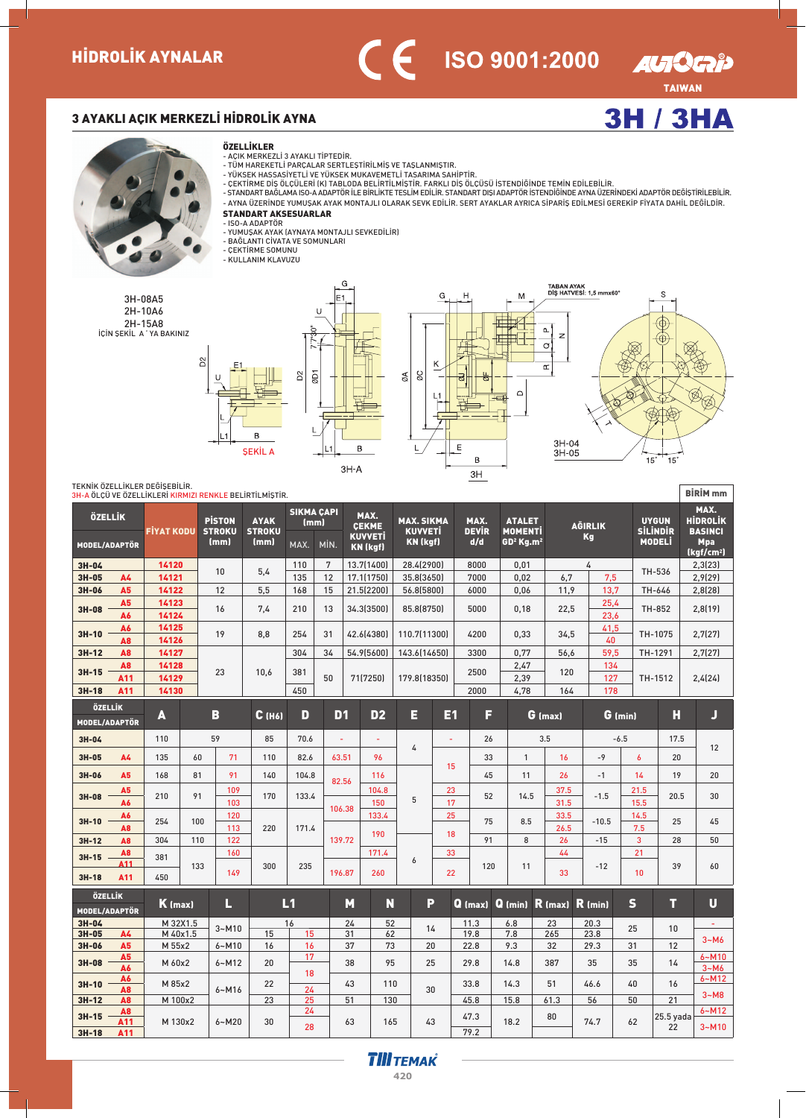



3H-08A5 2H-10A6 2H-15A8 İÇİN ŞEKİL A 'YA BAKINIZ



- 
- 
- AÇIK MERKEZLİ 3 AYAKLI TİPTEDİR.<br>- TÜM HAREKETLİ PARÇALAR SERTLEŞTİRİLMİŞ VE TAŞLANMIŞTIR.<br>- YÜKSEK HASSASIYETLI VE YÜKSEK MUKAVEMETLİ TASARIMA SAHİPTİR.<br>- CEKTİRME DIŞ ÖLÇÜLERİ (K) TABLODA BELİRTİLMİŞTİR. FARKLI DİŞ ÖLÇ
- 
- AYNA ÜZERÍNDE YUMUŞAK AYAK MONTAJLI OLARAK SEVK EDÍLÍR. SERT AYAKLAR AYRICA SÍPARÍŞ EDÍLMESÍ GEREKÍP FÍYATA DAHÍL DEĞÍLDÍR. STANDART AKSESUARLAR
- 
- ISO-A ADAPTÖR<br>- YUMUŞAK AYAK (AYNAYA MONTAJLI SEVKEDİLİR)
- BAGLANTI CIVATA VE SOMUNLARI<br>- ÇEKTİRME SOMUNU
- 
- KULLANIM KLAVUZU





TAIWAN

AUIQGID

**3H / 3HA** 

### TEKNÍK ÖZELLÍKLER DEĞÍŞEBÍLÍR.

|                                        |                              |                   |          |                                        | <u>3H-A ÖLÇÜ VE ÖZELLİKLERİ KIRMIZI RENKLE BELİRTİLMİŞTİR.</u> |                                   |      |                |                                                           |                                                        |                |                             |     |                                                                      |                     |                             |              |                                                  | BIKIM MM                                                                          |
|----------------------------------------|------------------------------|-------------------|----------|----------------------------------------|----------------------------------------------------------------|-----------------------------------|------|----------------|-----------------------------------------------------------|--------------------------------------------------------|----------------|-----------------------------|-----|----------------------------------------------------------------------|---------------------|-----------------------------|--------------|--------------------------------------------------|-----------------------------------------------------------------------------------|
| <b>ÖZELLİK</b><br><b>MODEL/ADAPTÖR</b> |                              | <b>FIYAT KODU</b> |          | <b>PISTON</b><br><b>STROKU</b><br>(mm) | <b>AYAK</b><br><b>STROKU</b><br>(mm)                           | <b>SIKMA CAPI</b><br>(mm)<br>MAX. | MİN. |                | MAX.<br><b>CEKME</b><br><b>KUVVETİ</b><br><b>KN (kgf)</b> | <b>MAX. SIKMA</b><br><b>KUVVETI</b><br><b>KN (kgf)</b> |                | MAX.<br><b>DEVIR</b><br>d/d |     | <b>ATALET</b><br><b>MOMENTI</b><br>GD <sup>2</sup> Kg.m <sup>2</sup> |                     | <b>AGIRLIK</b><br><b>Kg</b> |              | <b>UYGUN</b><br><b>SİLİNDİR</b><br><b>MODELİ</b> | MAX.<br><b>HİDROLİK</b><br><b>BASINCI</b><br><b>Mpa</b><br>(kgf/cm <sup>2</sup> ) |
| 3H-04                                  |                              | 14120             |          |                                        |                                                                | 110                               | 7    |                | 13.7(1400)                                                | 28.4(2900)                                             |                | 8000                        |     | 0.01                                                                 |                     | 4                           |              |                                                  | 2,3(23)                                                                           |
| 3H-05                                  | <b>A4</b>                    | 14121             |          | 10                                     | 5,4                                                            | 135                               | 12   |                | 17.1(1750)                                                | 35.8(3650)                                             |                | 7000                        |     | 0,02                                                                 | 6,7                 | 7,5                         |              | TH-536                                           | 2,9(29)                                                                           |
| 3H-06                                  | A <sub>5</sub>               | 14122             |          | 12                                     | 5,5                                                            | 168                               | 15   |                | 21.5(2200)                                                | 56.8(5800)                                             |                | 6000                        |     | 0,06                                                                 | 11,9                | 13,7                        |              | TH-646                                           | 2,8(28)                                                                           |
| 3H-08                                  | A <sub>5</sub><br>A6         | 14123<br>14124    |          | 16                                     | 7,4                                                            | 210                               | 13   |                | 34.3(3500)                                                | 85.8(8750)                                             |                | 5000                        |     | 0,18                                                                 | 22,5                | 25,4<br>23,6                |              | <b>TH-852</b>                                    | 2,8(19)                                                                           |
| $3H-10$                                | A6<br>A8                     | 14125<br>14126    |          | 19                                     | 8,8                                                            | 254                               | 31   |                | 42.6(4380)                                                | 110.7(11300)                                           |                | 4200                        |     | 0,33                                                                 | 34,5                | 41,5<br>40                  |              | TH-1075                                          | 2,7(27)                                                                           |
| $3H-12$                                | <b>A8</b>                    | 14127             |          |                                        |                                                                | 304                               | 34   |                | 54.9(5600)                                                | 143.6(14650)                                           |                | 3300                        |     | 0.77                                                                 | 56,6                | 59.5                        |              | TH-1291                                          | 2,7(27)                                                                           |
| $3H-15$                                | A <sub>8</sub><br>A11        | 14128<br>14129    |          | 23                                     | 10,6                                                           | 381                               | 50   |                | 71(7250)                                                  | 179.8(18350)                                           |                | 2500                        |     | 2,47<br>2,39                                                         | 120                 | 134<br>127                  |              | TH-1512                                          | 2,4(24)                                                                           |
| $3H-18$                                | A11                          | 14130             |          |                                        |                                                                | 450                               |      |                |                                                           |                                                        |                | 2000                        |     | 4,78                                                                 | 164                 | 178                         |              |                                                  |                                                                                   |
| ÖZELLİK<br>MODEL/ADAPTÖR               |                              | A                 |          | B                                      | $C$ (H6)                                                       | D                                 |      | D <sub>1</sub> | D <sub>2</sub>                                            | Ξ                                                      | E <sub>1</sub> |                             | F   |                                                                      | $G$ (max)           |                             | $G$ (min)    | Н                                                | J                                                                                 |
| 3H-04                                  |                              | 110               |          | 59                                     | 85                                                             | 70.6                              |      | $\omega$       | ٠                                                         |                                                        | $\blacksquare$ |                             | 26  |                                                                      | 3.5                 |                             | $-6.5$       | 17.5                                             |                                                                                   |
| 3H-05                                  | <b>A4</b>                    | 135               | 60       | 71                                     | 110                                                            | 82.6                              |      | 63.51          | 96                                                        | 4                                                      | 15             |                             | 33  | $\mathbf{1}$                                                         | 16                  | $-9$                        | 6            | 20                                               | 12                                                                                |
| 3H-06                                  | A <sub>5</sub>               | 168               | 81       | 91                                     | 140                                                            | 104.8                             |      | 82.56          | 116                                                       |                                                        |                |                             | 45  | 11                                                                   | 26                  | $-1$                        | 14           | 19                                               | 20                                                                                |
| 3H-08                                  | A <sub>5</sub><br>A6         | 210               | 91       | 109<br>103                             | 170                                                            | 133.4                             |      | 106.38         | 104.8<br>150                                              | 5                                                      | 23<br>17       |                             | 52  | 14.5                                                                 | 37.5<br>31.5        | $-1.5$                      | 21.5<br>15.5 | 20.5                                             | 30                                                                                |
| 3H-10                                  | A6<br><b>A8</b>              | 254               | 100      | 120<br>113                             | 220                                                            | 171.4                             |      |                | 133.4<br>190                                              |                                                        | 25<br>18       |                             | 75  | 8.5                                                                  | 33.5<br>26.5        | $-10.5$                     | 14.5<br>7.5  | 25                                               | 45                                                                                |
| 3H-12                                  | A <sub>8</sub>               | 304               | 110      | 122                                    |                                                                |                                   |      | 139.72         |                                                           |                                                        |                |                             | 91  | 8                                                                    | 26                  | $-15$                       | 3            | 28                                               | 50                                                                                |
| $3H-15$                                | A8<br>A11                    | 381               |          | 160                                    |                                                                |                                   |      |                | 171.4                                                     | 6                                                      | 33             |                             |     |                                                                      | 44                  |                             | 21           |                                                  |                                                                                   |
| $3H-18$                                | A11                          | 450               | 133      | 149                                    | 300                                                            | 235                               |      | 196.87         | 260                                                       |                                                        | 22             |                             | 120 | 11                                                                   | 33                  | $-12$                       | 10           | 39                                               | 60                                                                                |
| ÖZELLİK<br>MODEL/ADAPTÖR               |                              | K (max)           |          | П                                      |                                                                | L1                                |      | М              | N                                                         |                                                        | P              | $Q$ (max)                   |     |                                                                      | $Q$ (min) $R$ (max) | $R$ (min)                   | $\mathsf{s}$ | т                                                | U                                                                                 |
| 3H-04                                  |                              |                   | M 32X1.5 | $3 - M10$                              |                                                                | 16                                |      | 24             | 52                                                        |                                                        | 14             | 11.3                        |     | 6.8                                                                  | 23                  | 20.3                        | 25           | 10                                               | ÷.                                                                                |
| 3H-05                                  | <b>A4</b>                    |                   | M 40x1.5 |                                        | 15                                                             | 15                                |      | 31             | 62                                                        |                                                        |                | 19.8                        |     | 7.8                                                                  | 265                 | 23.8                        |              |                                                  | $3-M6$                                                                            |
| 3H-06                                  | A <sub>5</sub>               | M 55x2            |          | $6 - M10$                              | 16                                                             | 16                                |      | 37             | 73                                                        |                                                        | 20             | 22.8                        |     | 9.3                                                                  | 32                  | 29.3                        | 31           | 12                                               |                                                                                   |
| 3H-08                                  | A <sub>5</sub><br><b>A6</b>  | M 60x2            |          | $6 - M12$                              | 20                                                             | 17<br>18                          |      | 38             | 95                                                        |                                                        | 25             | 29.8                        |     | 14.8                                                                 | 387                 | 35                          | 35           | 14                                               | $6 - M10$<br>$3-M6$                                                               |
| $3H-10$                                | A6<br><b>A8</b>              | M 85x2            |          | $6 - M16$                              | 22                                                             | 24                                |      | 43             | 110                                                       |                                                        | 30             | 33.8                        |     | 14.3                                                                 | 51                  | 46.6                        | 40           | 16                                               | $6 - M12$                                                                         |
| $3H-12$                                | A8                           | M 100x2           |          |                                        | 23                                                             | 25                                |      | 51             | 130                                                       |                                                        |                | 45.8                        |     | 15.8                                                                 | 61.3                | 56                          | 50           | 21                                               | $3-M8$                                                                            |
| $3H-15$<br>$3H-18$                     | A <sub>8</sub><br>A11<br>A11 | M 130x2           |          | $6 - M20$                              | 30                                                             | 24<br>28                          |      | 63             | 165                                                       |                                                        | 43             | 47.3<br>79.2                |     | 18.2                                                                 | 80                  | 74.7                        | 62           | 25.5 yada<br>22                                  | $6 - M12$<br>$3 - M10$                                                            |
|                                        |                              |                   |          |                                        |                                                                |                                   |      |                |                                                           |                                                        |                |                             |     |                                                                      |                     |                             |              |                                                  |                                                                                   |

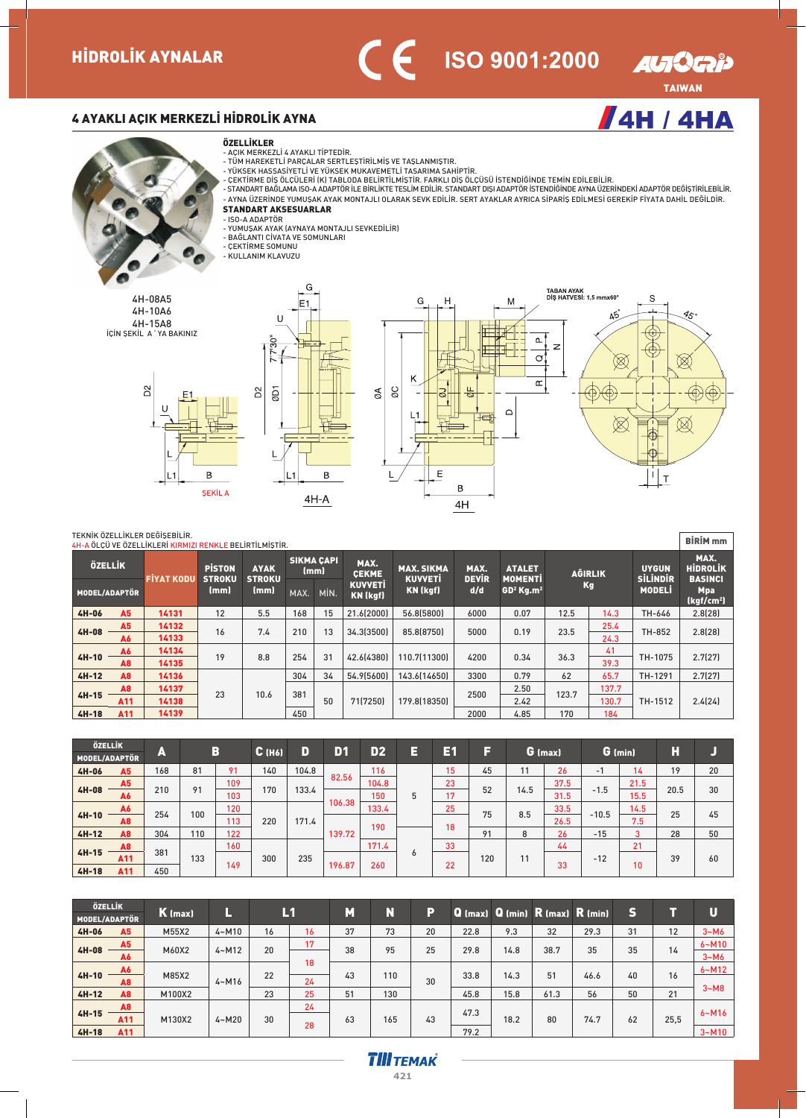

<mark>/</mark>4Н/4НА

 $\sqrt{ }$ 

## 4 AYAKLI AÇIK MERKEZLİ HİDROLİK AYNA

#### ÖZELLİKLER



4H-08A5 4H-10A6 4H-15A8

**D<sub>2</sub>** 



- 
- 

- AÇIK MERKEZLİ 4 AYAKLI TİPTEDİR.<br>- TÜM HAREKETLİ PARÇALAR SERTLEŞTİRİLMİŞ VE TAŞLANMIŞTIR.<br>- YÜKSEK HASSASIYETLI VE YÜKSEK MUKAVEMETLİ TASARIMA SAHİPTİR.<br>- CEKTİRME DIŞ ÖLÇÜLERİ (K) TABLODA BELİRTİLMİŞTİR. FARKLI DİŞ ÖLÇ - AYNA UZERINDE YUMUŞAK AYAK MONTAJLI OLARAK SEVK EDILIR. SERT AYAKLAR AYRICA SIPARIŞ EDILMESI GEREKIP FIYATA DAHIL DEGILDIR.<br>**STANDART AKSESUARLAR** 

- ISO-A ADAPTÖR<br>- YUMUŞAK AYAK (AYNAYA MONTAJLI SEVKEDİLİR)

G

- BAGLANTI CIVATA VE SOMUNLARI<br>- ÇEKTİRME SOMUNU
- KULLANIM KLAVUZU









#### TEKNÍK ÖZELLÍKLER DEĞÍSERÍLÍR.

|                                       |                | 4H-A ÖLÇÜ VE ÖZELLİKLERİ KIRMIZI RENKLE BELİRTİLMİŞTİR. |                                |                              |      |                   |                                        |                                     |                      |                                 |       |                             |                                 | <b>BIRIM</b> mm                           |
|---------------------------------------|----------------|---------------------------------------------------------|--------------------------------|------------------------------|------|-------------------|----------------------------------------|-------------------------------------|----------------------|---------------------------------|-------|-----------------------------|---------------------------------|-------------------------------------------|
| ÖZELLİK                               |                | <b>FİYAT KODU</b>                                       | <b>PISTON</b><br><b>STROKU</b> | <b>AYAK</b><br><b>STROKU</b> | (mm) | <b>SIKMA CAPI</b> | MAX.<br><b>CEKME</b><br><b>KUVVETI</b> | <b>MAX. SIKMA</b><br><b>KUVVETI</b> | MAX.<br><b>DEVIR</b> | <b>ATALET</b><br><b>MOMENTI</b> |       | <b>AGIRLIK</b><br><b>Kg</b> | <b>UYGUN</b><br><b>SİLİNDİR</b> | MAX.<br><b>HIDROLIK</b><br><b>BASINCI</b> |
| MODEL/ADAPTÖR<br><b>A5</b><br>$4H-06$ |                |                                                         | (mm)                           | (mm)                         | MAX. | MİN.              | <b>KN (kgf)</b>                        | KN (kgf)                            | d/d                  | $GD2$ Kg.m <sup>2</sup>         |       |                             | <b>MODELI</b>                   | <b>Mpa</b><br>(kgf/cm <sup>2</sup> )      |
|                                       |                | 14131                                                   | 12                             | 5.5                          | 168  | 15                | 21.6(2000)                             | 56.8(5800)                          | 6000                 | 0.07                            | 12.5  | 14.3                        | TH-646                          | 2.8(28)                                   |
| $4H-08$                               | A5             | 14132                                                   | 16                             | 7.4                          | 210  | 13                | 34.3(3500)                             | 85.8(8750)                          | 5000                 | 0.19                            | 23.5  | 25.4                        | TH-852                          | 2.8(28)                                   |
|                                       | <b>A6</b>      | 14133                                                   |                                |                              |      |                   |                                        |                                     |                      |                                 |       | 24.3                        |                                 |                                           |
| $4H-10$                               | A6             | 14134                                                   | 19                             | 8.8                          | 254  | 31                | 42.6(4380)                             | 110.7(11300)                        | 4200                 | 0.34                            | 36.3  | 41                          | TH-1075                         | 2.7(27)                                   |
|                                       | A <sub>8</sub> | 14135                                                   |                                |                              |      |                   |                                        |                                     |                      |                                 |       | 39.3                        |                                 |                                           |
| $4H-12$                               | <b>A8</b>      | 14136                                                   |                                |                              | 304  | 34                | 54.9(5600)                             | 143.6(14650)                        | 3300                 | 0.79                            | 62    | 65.7                        | TH-1291                         | 2.7(27)                                   |
|                                       | A <sub>8</sub> | 14137                                                   |                                |                              |      |                   |                                        |                                     |                      | 2.50                            |       | 137.7                       |                                 |                                           |
| $4H-15$                               | A11            | 14138                                                   | 23                             | 10.6                         | 381  | 50                | 71[7250]                               | 179.8(18350)                        | 2500                 | 2.42                            | 123.7 | 130.7                       | TH-1512                         | 2.4(24)                                   |
| $4H-18$                               | A11            | 14139                                                   |                                |                              | 450  |                   |                                        |                                     | 2000                 | 4.85                            | 170   | 184                         |                                 |                                           |

| ÖZELLİK       |                |     |     |     |                       | D     | D <sub>1</sub> | D2    | E | Eſ | ы   |      |         |         |         | H    |    |
|---------------|----------------|-----|-----|-----|-----------------------|-------|----------------|-------|---|----|-----|------|---------|---------|---------|------|----|
| MODEL/ADAPTÖR |                | A   |     | B   | $C$ (H <sub>6</sub> ) |       |                |       |   |    |     |      | G (max) |         | G (min) |      |    |
| 4H-06         | A <sub>5</sub> | 168 | 81  | 91  | 140                   | 104.8 |                | 116   |   | 15 | 45  | 11   | 26      | -1      | 14      | 19   | 20 |
|               | A <sub>5</sub> |     |     | 109 |                       |       | 82.56          | 104.8 |   | 23 |     |      | 37.5    |         | 21.5    |      |    |
| $4H-08$       | A6             | 210 | 91  | 103 | 170                   | 133.4 |                | 150   | 5 | 17 | 52  | 14.5 | 31.5    | $-1.5$  | 15.5    | 20.5 | 30 |
|               | A6             |     |     | 120 |                       |       | 106.38         | 133.4 |   | 25 |     |      | 33.5    |         | 14.5    |      |    |
| $4H-10$       | A <sub>8</sub> | 254 | 100 | 113 | 220                   | 171.4 |                |       |   |    | 75  | 8.5  | 26.5    | $-10.5$ | 7.5     | 25   | 45 |
| $4H-12$       | <b>A8</b>      | 304 | 110 | 122 |                       |       | 139.72         | 190   |   | 18 | 91  | 8    | 26      | $-15$   | 3       | 28   | 50 |
|               | A <sub>8</sub> |     |     | 160 |                       |       |                | 171.4 |   | 33 |     |      | 44      |         | 21      |      |    |
| $4H-15$       | A11            | 381 | 133 |     | 300                   | 235   |                |       | O |    | 120 | 11   |         | $-12$   |         | 39   | 60 |
| $4H-18$       | A11            | 450 |     | 149 |                       |       | 196.87         | 260   |   | 22 |     |      | 33      |         | 10      |      |    |

| ÖZELLİK       |                |         |           | L1 |    | M  |     | P  |      |      |      |                                                             | S  | ٦R.  | U         |
|---------------|----------------|---------|-----------|----|----|----|-----|----|------|------|------|-------------------------------------------------------------|----|------|-----------|
| MODEL/ADAPTÖR |                | K (max) |           |    |    |    | N   |    |      |      |      | <b>Q</b> (max) <b>Q</b> (min) <b>R</b> (max) <b>R</b> (min) |    |      |           |
| $4H-06$       | A <sub>5</sub> | M55X2   | $4 - M10$ | 16 | 16 | 37 | 73  | 20 | 22.8 | 9.3  | 32   | 29.3                                                        | 31 | 12   | $3-M6$    |
|               | A <sub>5</sub> |         |           |    | 17 |    |     |    |      |      |      |                                                             |    |      | $6 - M10$ |
| $4H-08$       | A6             | M60X2   | $4 - M12$ | 20 |    | 38 | 95  | 25 | 29.8 | 14.8 | 38.7 | 35                                                          | 35 | 14   | $3-M6$    |
|               | A6             |         |           |    | 18 |    |     |    |      |      |      |                                                             |    |      | $6 - M12$ |
| $4H-10$       | <b>A8</b>      | M85X2   | $4 - M16$ | 22 | 24 | 43 | 110 | 30 | 33.8 | 14.3 | 51   | 46.6                                                        | 40 | 16   |           |
| $4H-12$       | <b>A8</b>      | M100X2  |           | 23 | 25 | 51 | 130 |    | 45.8 | 15.8 | 61.3 | 56                                                          | 50 | 21   | $3-M8$    |
|               | A <sub>8</sub> |         |           |    | 24 |    |     |    |      |      |      |                                                             |    |      |           |
| $4H-15$       | A11            | M130X2  | $4 - M20$ | 30 |    | 63 | 165 | 43 | 47.3 | 18.2 | 80   | 74.7                                                        | 62 | 25,5 | $6 - M16$ |
| $4H-18$       | A11            |         |           |    | 28 |    |     |    | 79.2 |      |      |                                                             |    |      | $3 - M10$ |